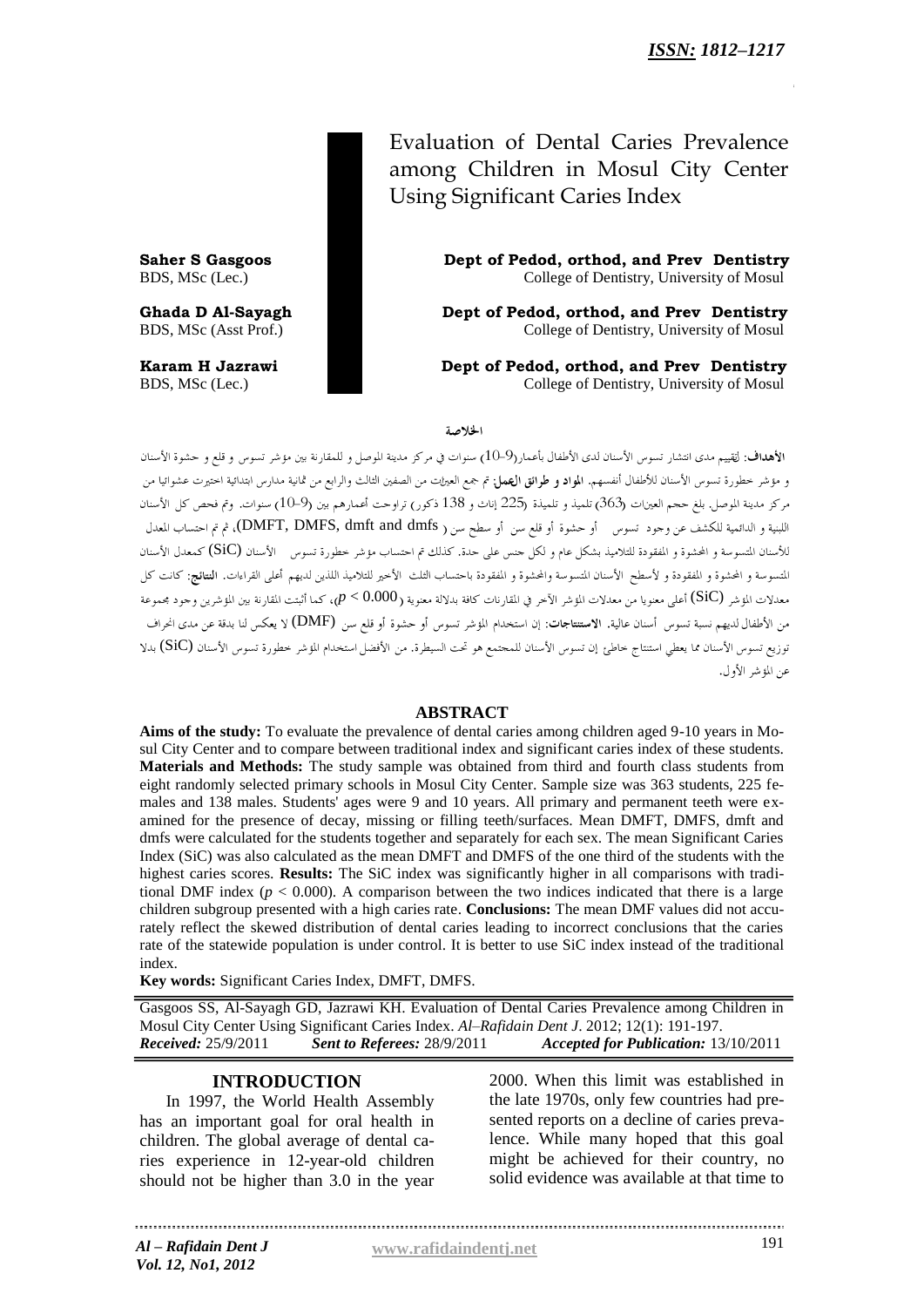Evaluation of Dental Caries Prevalence among Children in Mosul City Center Using Significant Caries Index

**Saher S Gasgoos Dept of Pedod, orthod, and Prev Dentistry** BDS, MSc (Lec.) College of Dentistry, University of Mosul

**Ghada D Al-Sayagh Dept of Pedod, orthod, and Prev Dentistry** BDS, MSc (Asst Prof.) College of Dentistry, University of Mosul

**Karam H Jazrawi Dept of Pedod, orthod, and Prev Dentistry** BDS, MSc (Lec.) College of Dentistry, University of Mosul

الخلاصة

الأهداف: لققييم مدى انتشار تسوس الأسنان لدى الأطفال بأعمار(9-10) سنوات في مركز مدينة الموصل و للمقارنة بين مؤشر تسوس و قلع و حشوة الأسنان و مؤشر خطورة تسوس الأسنان للأطفال أنفسهم. ا**لمواد و طرائق العمل**: تم جمع العيرات من الصفين الثالث والرابع من ثمانية مدارس ابتدائية احتيرت عشوائيا من مركز مدينة الموصل. بلغ حجم العينات (363) تلميذ و تلميذة (225 إناث و 138 ذكور) تراوحت أعمارهم بين (9–10) سنوات. وتم فحص كل الأسنان اللبنية و الدائمية للكشف عن وجود تسوس أو حشوة أو قلع سن أو سطح سن ( DMFT, DMFS, dmft and dmfs)، ثم تم احتساب المعدل للأسنان المتسوسة و المحشوة و المفقودة للتلاميذ بشكل عام و لكل حنس على حدة. كذلك تم احتساب مؤشر خطورة تسوس الأسنان (SiC) كمعدل الأسنان .<br>المتسوسة و المحشوة و المفقودة و لأسطح الأسنان المتسوسة والمحشوة و المفقودة باحتساب الثلث الناصلة الثلثان لديهم أعلى القراءات. **النتائج**: كانت كل معدلات المؤشر (SiC) أعل<sub>ى</sub> معنويا من معدلات المؤشر الآخر في المقارنات كافة بدلالة معنوية ( P < 0.000)، كما أثبتت المقارنة بين المؤشرين وجود مجموعة من الأطفال لديهم نسبة تسوس أسنان عالية. الاستنتاجات: إن استخدام المؤشر تسوس أو حشوة أو قلع سن (DMF) لا يعكس لنا بدقة عن مدى انحراف توزيع تسوس الأسنان مما يعطي استنتاج خاطئ إن تسوس الأسنان للمجتمع هو تحت السيطرة. من الأفضل استخدام المؤشر خطورة تسوس الأسنان (SiC) بدلا عن المؤشر الأول.

### **ABSTRACT**

**Aims of the study:** To evaluate the prevalence of dental caries among children aged 9-10 years in Mosul City Center and to compare between traditional index and significant caries index of these students. **Materials and Methods:** The study sample was obtained from third and fourth class students from eight randomly selected primary schools in Mosul City Center. Sample size was 363 students, 225 females and 138 males. Students' ages were 9 and 10 years. All primary and permanent teeth were examined for the presence of decay, missing or filling teeth/surfaces. Mean DMFT, DMFS, dmft and dmfs were calculated for the students together and separately for each sex. The mean Significant Caries Index (SiC) was also calculated as the mean DMFT and DMFS of the one third of the students with the highest caries scores. **Results:** The SiC index was significantly higher in all comparisons with traditional DMF index  $(p < 0.000)$ . A comparison between the two indices indicated that there is a large children subgroup presented with a high caries rate. **Conclusions:** The mean DMF values did not accurately reflect the skewed distribution of dental caries leading to incorrect conclusions that the caries rate of the statewide population is under control. It is better to use SiC index instead of the traditional index.

**Key words:** Significant Caries Index, DMFT, DMFS.

Gasgoos SS, Al-Sayagh GD, Jazrawi KH. Evaluation of Dental Caries Prevalence among Children in Mosul City Center Using Significant Caries Index. *Al–Rafidain Dent J*. 2012; 12(1): 191-197. *Received:* 25/9/2011 *Sent to Referees:* 28/9/2011 *Accepted for Publication:* 13/10/2011

### **INTRODUCTION**

In 1997, the World Health Assembly has an important goal for oral health in children. The global average of dental caries experience in 12-year-old children should not be higher than 3.0 in the year

2000. When this limit was established in the late 1970s, only few countries had presented reports on a decline of caries prevalence. While many hoped that this goal might be achieved for their country, no solid evidence was available at that time to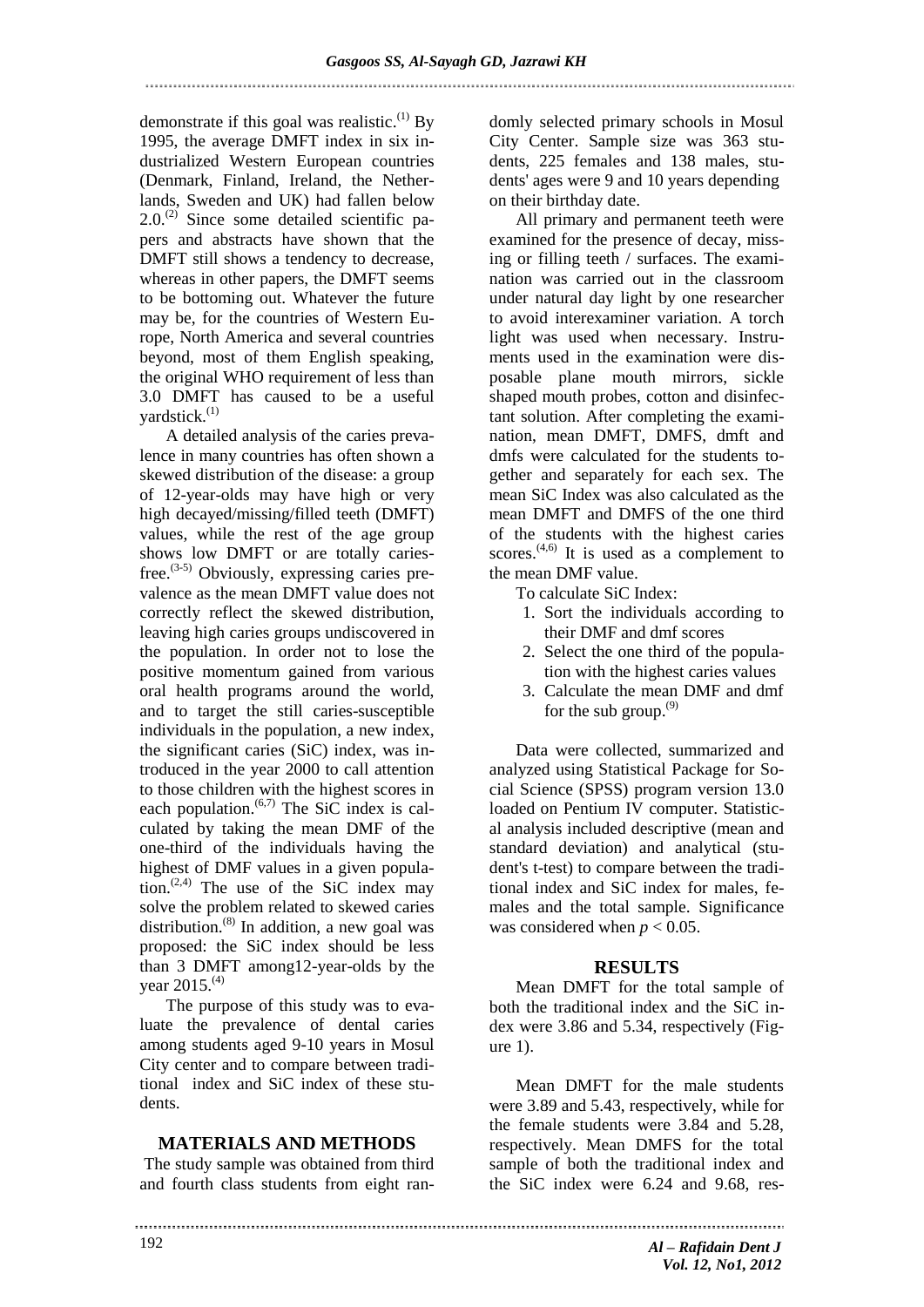demonstrate if this goal was realistic.<sup>(1)</sup> By 1995, the average DMFT index in six industrialized Western European countries (Denmark, Finland, Ireland, the Netherlands, Sweden and UK) had fallen below  $2.0<sup>(2)</sup>$  Since some detailed scientific papers and abstracts have shown that the DMFT still shows a tendency to decrease, whereas in other papers, the DMFT seems to be bottoming out. Whatever the future may be, for the countries of Western Europe, North America and several countries beyond, most of them English speaking, the original WHO requirement of less than 3.0 DMFT has caused to be a useful vardstick.<sup>(1)</sup>

A detailed analysis of the caries prevalence in many countries has often shown a skewed distribution of the disease: a group of 12-year-olds may have high or very high decayed/missing/filled teeth (DMFT) values, while the rest of the age group shows low DMFT or are totally cariesfree.<sup> $(3-5)$ </sup> Obviously, expressing caries prevalence as the mean DMFT value does not correctly reflect the skewed distribution, leaving high caries groups undiscovered in the population. In order not to lose the positive momentum gained from various oral health programs around the world, and to target the still caries-susceptible individuals in the population, a new index, the significant caries (SiC) index, was introduced in the year 2000 to call attention to those children with the highest scores in each population.<sup> $(6,7)$ </sup> The SiC index is calculated by taking the mean DMF of the one-third of the individuals having the highest of DMF values in a given population.<sup> $(2,4)$ </sup> The use of the SiC index may solve the problem related to skewed caries distribution. $^{(8)}$  In addition, a new goal was proposed: the SiC index should be less than 3 DMFT among12-year-olds by the year 2015.<sup>(4)</sup>

The purpose of this study was to evaluate the prevalence of dental caries among students aged 9-10 years in Mosul City center and to compare between traditional index and SiC index of these students.

# **MATERIALS AND METHODS**

The study sample was obtained from third and fourth class students from eight randomly selected primary schools in Mosul City Center. Sample size was 363 students, 225 females and 138 males, students' ages were 9 and 10 years depending on their birthday date.

All primary and permanent teeth were examined for the presence of decay, missing or filling teeth / surfaces. The examination was carried out in the classroom under natural day light by one researcher to avoid interexaminer variation. A torch light was used when necessary. Instruments used in the examination were disposable plane mouth mirrors, sickle shaped mouth probes, cotton and disinfectant solution. After completing the examination, mean DMFT, DMFS, dmft and dmfs were calculated for the students together and separately for each sex. The mean SiC Index was also calculated as the mean DMFT and DMFS of the one third of the students with the highest caries scores. $(4,6)$  It is used as a complement to the mean DMF value.

- To calculate SiC Index:
	- 1. Sort the individuals according to their DMF and dmf scores
- 2. Select the one third of the population with the highest caries values
- 3. Calculate the mean DMF and dmf for the sub group. $^{(9)}$

Data were collected, summarized and analyzed using Statistical Package for Social Science (SPSS) program version 13.0 loaded on Pentium IV computer. Statistical analysis included descriptive (mean and standard deviation) and analytical (student's t-test) to compare between the traditional index and SiC index for males, females and the total sample. Significance was considered when  $p < 0.05$ .

#### **RESULTS**

Mean DMFT for the total sample of both the traditional index and the SiC index were 3.86 and 5.34, respectively (Figure 1).

Mean DMFT for the male students were 3.89 and 5.43, respectively, while for the female students were 3.84 and 5.28, respectively. Mean DMFS for the total sample of both the traditional index and the SiC index were 6.24 and 9.68, res-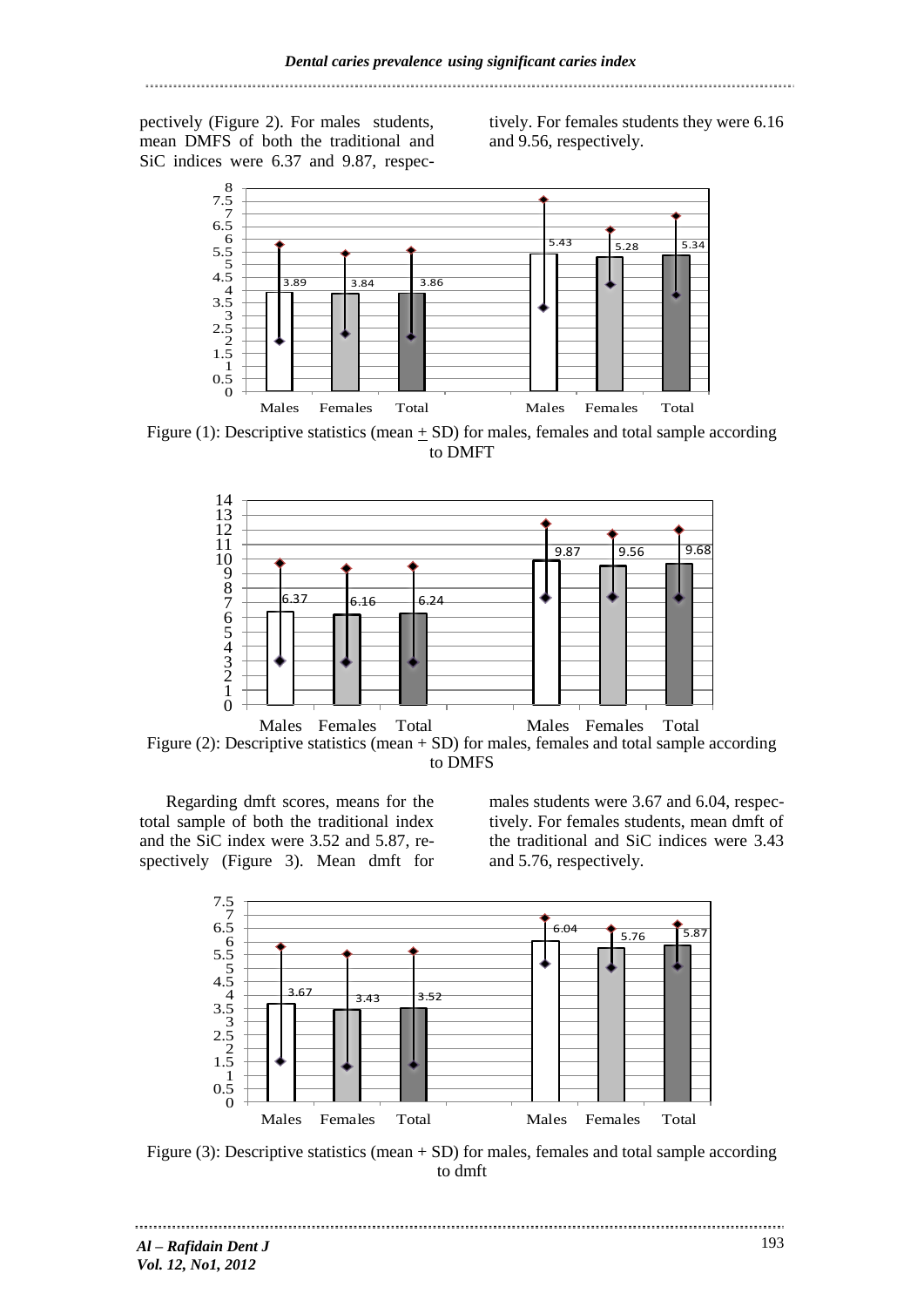pectively (Figure 2). For males students, mean DMFS of both the traditional and SiC indices were 6.37 and 9.87, respectively. For females students they were 6.16 and 9.56, respectively.



Figure (1): Descriptive statistics (mean  $\pm$  SD) for males, females and total sample according to DMFT



Figure (2): Descriptive statistics (mean + SD) for males, females and total sample according to DMFS

Regarding dmft scores, means for the total sample of both the traditional index and the SiC index were 3.52 and 5.87, respectively (Figure 3). Mean dmft for males students were 3.67 and 6.04, respectively. For females students, mean dmft of the traditional and SiC indices were 3.43 and 5.76, respectively.



Figure (3): Descriptive statistics (mean + SD) for males, females and total sample according to dmft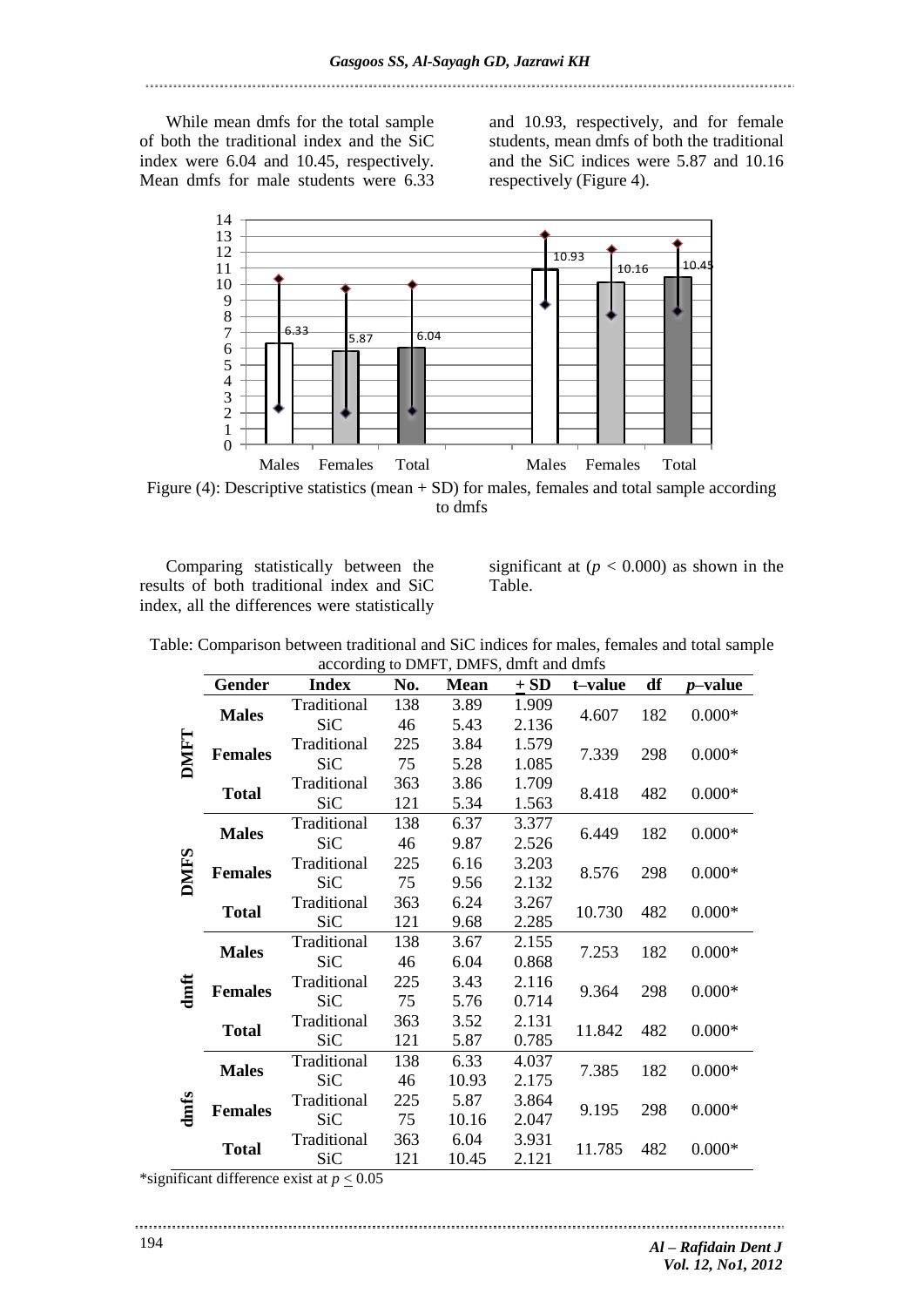While mean dmfs for the total sample of both the traditional index and the SiC index were 6.04 and 10.45, respectively. Mean dmfs for male students were 6.33

and 10.93, respectively, and for female students, mean dmfs of both the traditional and the SiC indices were 5.87 and 10.16 respectively (Figure 4).



to dmfs

Comparing statistically between the results of both traditional index and SiC index, all the differences were statistically significant at  $(p < 0.000)$  as shown in the Table.

| Table: Comparison between traditional and SiC indices for males, females and total sample |  |
|-------------------------------------------------------------------------------------------|--|
| according to DMFT, DMFS, dmft and dmfs                                                    |  |

|              | $\alpha$ column to DMFT, DMFS, unit and units |              |     |             |        |               |     |                 |  |
|--------------|-----------------------------------------------|--------------|-----|-------------|--------|---------------|-----|-----------------|--|
|              | Gender                                        | <b>Index</b> | No. | <b>Mean</b> | $+$ SD | t-value       | df  | <i>p</i> -value |  |
| <b>DMFT</b>  | <b>Males</b>                                  | Traditional  | 138 | 3.89        | 1.909  | 4.607         | 182 | $0.000*$        |  |
|              |                                               | <b>SiC</b>   | 46  | 5.43        | 2.136  |               |     |                 |  |
|              | <b>Females</b>                                | Traditional  | 225 | 3.84        | 1.579  | 7.339         | 298 | $0.000*$        |  |
|              |                                               | SiC          | 75  | 5.28        | 1.085  |               |     |                 |  |
|              | <b>Total</b>                                  | Traditional  | 363 | 3.86        | 1.709  | 8.418         | 482 | $0.000*$        |  |
|              |                                               | <b>SiC</b>   | 121 | 5.34        | 1.563  |               |     |                 |  |
| <b>DMIFS</b> | <b>Males</b>                                  | Traditional  | 138 | 6.37        | 3.377  | 6.449         | 182 | $0.000*$        |  |
|              |                                               | <b>SiC</b>   | 46  | 9.87        | 2.526  |               |     |                 |  |
|              | <b>Females</b>                                | Traditional  | 225 | 6.16        | 3.203  |               | 298 | $0.000*$        |  |
|              |                                               | <b>SiC</b>   | 75  | 9.56        | 2.132  | 8.576         |     |                 |  |
|              | <b>Total</b>                                  | Traditional  | 363 | 6.24        | 3.267  | 10.730        | 482 | $0.000*$        |  |
|              |                                               | <b>SiC</b>   | 121 | 9.68        | 2.285  |               |     |                 |  |
| dmft         | <b>Males</b>                                  | Traditional  | 138 | 3.67        | 2.155  | 7.253         | 182 | $0.000*$        |  |
|              |                                               | <b>SiC</b>   | 46  | 6.04        | 0.868  |               |     |                 |  |
|              | <b>Females</b>                                | Traditional  | 225 | 3.43        | 2.116  | 9.364         | 298 | $0.000*$        |  |
|              |                                               | <b>SiC</b>   | 75  | 5.76        | 0.714  |               |     |                 |  |
|              | <b>Total</b>                                  | Traditional  | 363 | 3.52        | 2.131  | 11.842        | 482 | $0.000*$        |  |
|              |                                               | SiC          | 121 | 5.87        | 0.785  |               |     |                 |  |
| dmfs         | <b>Males</b>                                  | Traditional  | 138 | 6.33        | 4.037  | 7.385         | 182 | $0.000*$        |  |
|              |                                               | <b>SiC</b>   | 46  | 10.93       | 2.175  |               |     |                 |  |
|              | <b>Females</b>                                | Traditional  | 225 | 5.87        | 3.864  | 9.195         | 298 | $0.000*$        |  |
|              |                                               | <b>SiC</b>   | 75  | 10.16       | 2.047  |               |     |                 |  |
|              | <b>Total</b>                                  | Traditional  | 363 | 6.04        | 3.931  | 11.785<br>482 |     | $0.000*$        |  |
|              |                                               | <b>SiC</b>   | 121 | 10.45       | 2.121  |               |     |                 |  |

\*significant difference exist at  $p \le 0.05$ 

....................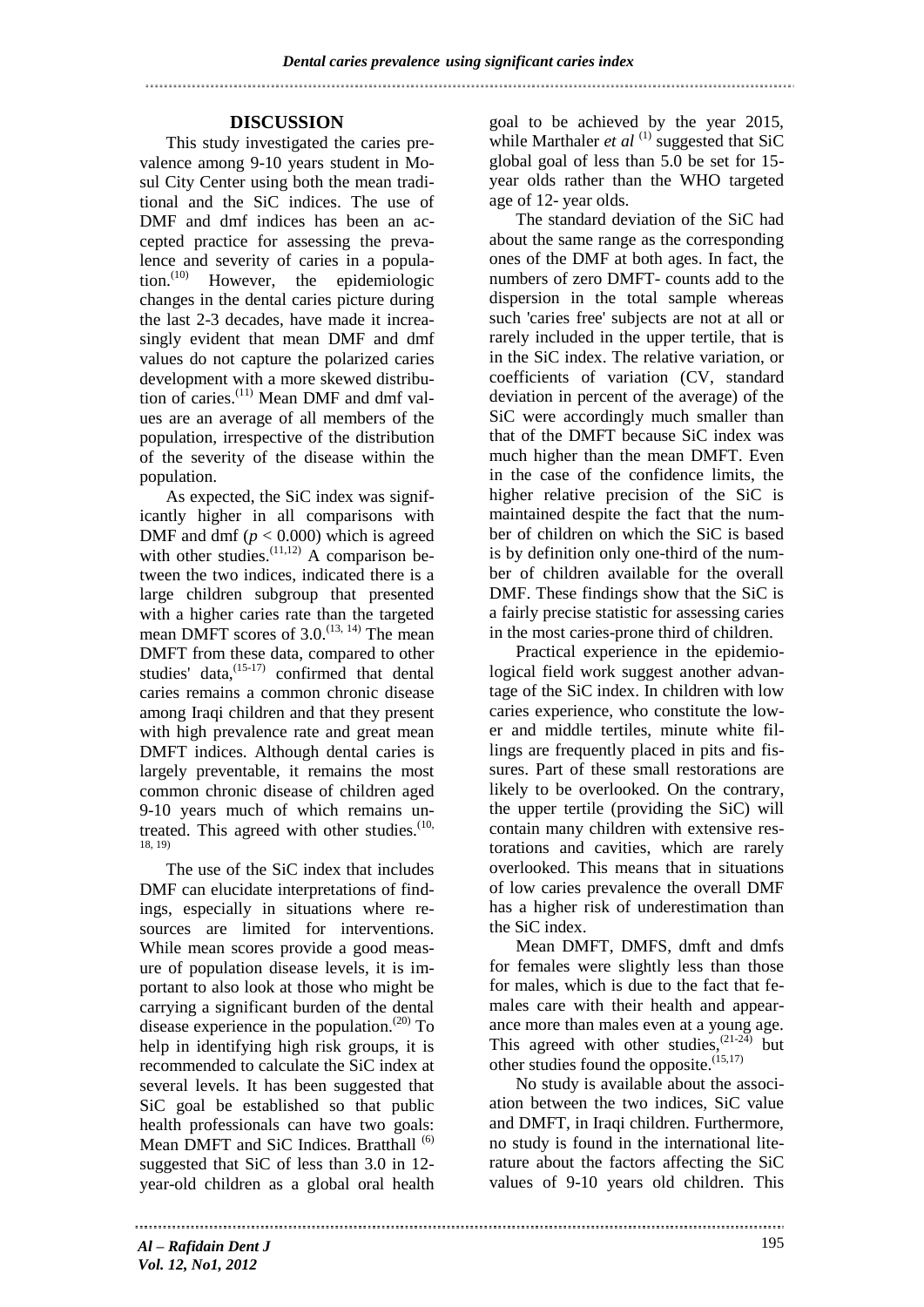# **DISCUSSION**

This study investigated the caries prevalence among 9-10 years student in Mosul City Center using both the mean traditional and the SiC indices. The use of DMF and dmf indices has been an accepted practice for assessing the prevalence and severity of caries in a population. $^{(10)}$  However, the epidemiologic changes in the dental caries picture during the last 2-3 decades, have made it increasingly evident that mean DMF and dmf values do not capture the polarized caries development with a more skewed distribution of caries.(11) Mean DMF and dmf values are an average of all members of the population, irrespective of the distribution of the severity of the disease within the population.

As expected, the SiC index was significantly higher in all comparisons with DMF and dmf ( $p < 0.000$ ) which is agreed with other studies.<sup> $(11,12)$ </sup> A comparison between the two indices, indicated there is a large children subgroup that presented with a higher caries rate than the targeted mean DMFT scores of  $3.0^{(13, 14)}$  The mean DMFT from these data, compared to other studies' data, $(15-17)$  confirmed that dental caries remains a common chronic disease among Iraqi children and that they present with high prevalence rate and great mean DMFT indices. Although dental caries is largely preventable, it remains the most common chronic disease of children aged 9-10 years much of which remains untreated. This agreed with other studies. $(10, 10)$ 18, 19)

The use of the SiC index that includes DMF can elucidate interpretations of findings, especially in situations where resources are limited for interventions. While mean scores provide a good measure of population disease levels, it is important to also look at those who might be carrying a significant burden of the dental disease experience in the population.<sup> $(20)$ </sup> To help in identifying high risk groups, it is recommended to calculate the SiC index at several levels. It has been suggested that SiC goal be established so that public health professionals can have two goals: Mean DMFT and SiC Indices. Bratthall <sup>(6)</sup> suggested that SiC of less than 3.0 in 12 year-old children as a global oral health

goal to be achieved by the year 2015, while Marthaler *et al*  $^{(1)}$  suggested that SiC global goal of less than 5.0 be set for 15 year olds rather than the WHO targeted age of 12- year olds.

The standard deviation of the SiC had about the same range as the corresponding ones of the DMF at both ages. In fact, the numbers of zero DMFT- counts add to the dispersion in the total sample whereas such 'caries free' subjects are not at all or rarely included in the upper tertile, that is in the SiC index. The relative variation, or coefficients of variation (CV, standard deviation in percent of the average) of the SiC were accordingly much smaller than that of the DMFT because SiC index was much higher than the mean DMFT. Even in the case of the confidence limits, the higher relative precision of the SiC is maintained despite the fact that the number of children on which the SiC is based is by definition only one-third of the number of children available for the overall DMF. These findings show that the SiC is a fairly precise statistic for assessing caries in the most caries-prone third of children.

Practical experience in the epidemiological field work suggest another advantage of the SiC index. In children with low caries experience, who constitute the lower and middle tertiles, minute white fillings are frequently placed in pits and fissures. Part of these small restorations are likely to be overlooked. On the contrary, the upper tertile (providing the SiC) will contain many children with extensive restorations and cavities, which are rarely overlooked. This means that in situations of low caries prevalence the overall DMF has a higher risk of underestimation than the SiC index.

Mean DMFT, DMFS, dmft and dmfs for females were slightly less than those for males, which is due to the fact that females care with their health and appearance more than males even at a young age. This agreed with other studies,  $(21-24)$  but other studies found the opposite. $^{(15,17)}$ 

No study is available about the association between the two indices, SiC value and DMFT, in Iraqi children. Furthermore, no study is found in the international literature about the factors affecting the SiC values of 9-10 years old children. This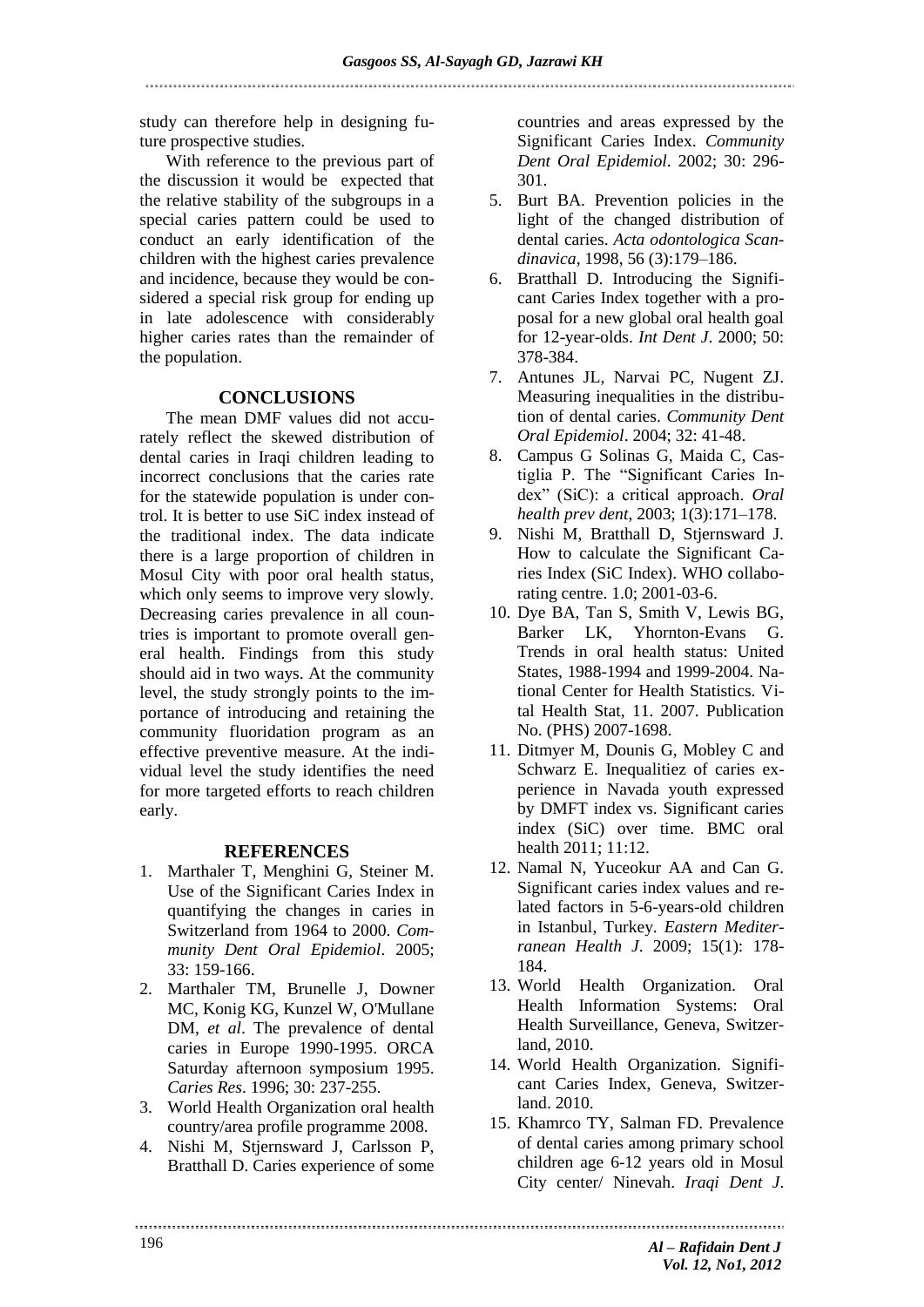study can therefore help in designing future prospective studies.

With reference to the previous part of the discussion it would be expected that the relative stability of the subgroups in a special caries pattern could be used to conduct an early identification of the children with the highest caries prevalence and incidence, because they would be considered a special risk group for ending up in late adolescence with considerably higher caries rates than the remainder of the population.

# **CONCLUSIONS**

The mean DMF values did not accurately reflect the skewed distribution of dental caries in Iraqi children leading to incorrect conclusions that the caries rate for the statewide population is under control. It is better to use SiC index instead of the traditional index. The data indicate there is a large proportion of children in Mosul City with poor oral health status, which only seems to improve very slowly. Decreasing caries prevalence in all countries is important to promote overall general health. Findings from this study should aid in two ways. At the community level, the study strongly points to the importance of introducing and retaining the community fluoridation program as an effective preventive measure. At the individual level the study identifies the need for more targeted efforts to reach children early.

# **REFERENCES**

- 1. Marthaler T, Menghini G, Steiner M. Use of the Significant Caries Index in quantifying the changes in caries in Switzerland from 1964 to 2000. *Community Dent Oral Epidemiol*. 2005; 33: 159-166.
- 2. Marthaler TM, Brunelle J, Downer MC, Konig KG, Kunzel W, O'Mullane DM, *et al*. The prevalence of dental caries in Europe 1990-1995. ORCA Saturday afternoon symposium 1995. *Caries Res*. 1996; 30: 237-255.
- 3. World Health Organization oral health country/area profile programme 2008.
- 4. Nishi M, Stjernsward J, Carlsson P, Bratthall D. Caries experience of some

countries and areas expressed by the Significant Caries Index. *Community Dent Oral Epidemiol*. 2002; 30: 296- 301.

- 5. Burt BA. Prevention policies in the light of the changed distribution of dental caries. *Acta odontologica Scandinavica*, 1998, 56 (3):179–186.
- 6. Bratthall D. Introducing the Significant Caries Index together with a proposal for a new global oral health goal for 12-year-olds. *Int Dent J*. 2000; 50: 378-384.
- 7. Antunes JL, Narvai PC, Nugent ZJ. Measuring inequalities in the distribution of dental caries. *Community Dent Oral Epidemiol*. 2004; 32: 41-48.
- 8. Campus G Solinas G, Maida C, Castiglia P. The "Significant Caries Index" (SiC): a critical approach. *Oral health prev dent*, 2003; 1(3):171–178.
- 9. Nishi M, Bratthall D, Stjernsward J. How to calculate the Significant Caries Index (SiC Index). WHO collaborating centre. 1.0; 2001-03-6.
- 10. Dye BA, Tan S, Smith V, Lewis BG, Barker LK, Yhornton-Evans G. Trends in oral health status: United States, 1988-1994 and 1999-2004. National Center for Health Statistics. Vital Health Stat, 11. 2007. Publication No. (PHS) 2007-1698.
- 11. Ditmyer M, Dounis G, Mobley C and Schwarz E. Inequalitiez of caries experience in Navada youth expressed by DMFT index vs. Significant caries index (SiC) over time. BMC oral health 2011; 11:12.
- 12. Namal N, Yuceokur AA and Can G. Significant caries index values and related factors in 5-6-years-old children in Istanbul, Turkey. *Eastern Mediterranean Health J*. 2009; 15(1): 178- 184.
- 13. World Health Organization. Oral Health Information Systems: Oral Health Surveillance, Geneva, Switzerland, 2010.
- 14. World Health Organization. Significant Caries Index, Geneva, Switzerland. 2010.
- 15. Khamrco TY, Salman FD. Prevalence of dental caries among primary school children age 6-12 years old in Mosul City center/ Ninevah. *Iraqi Dent J*.